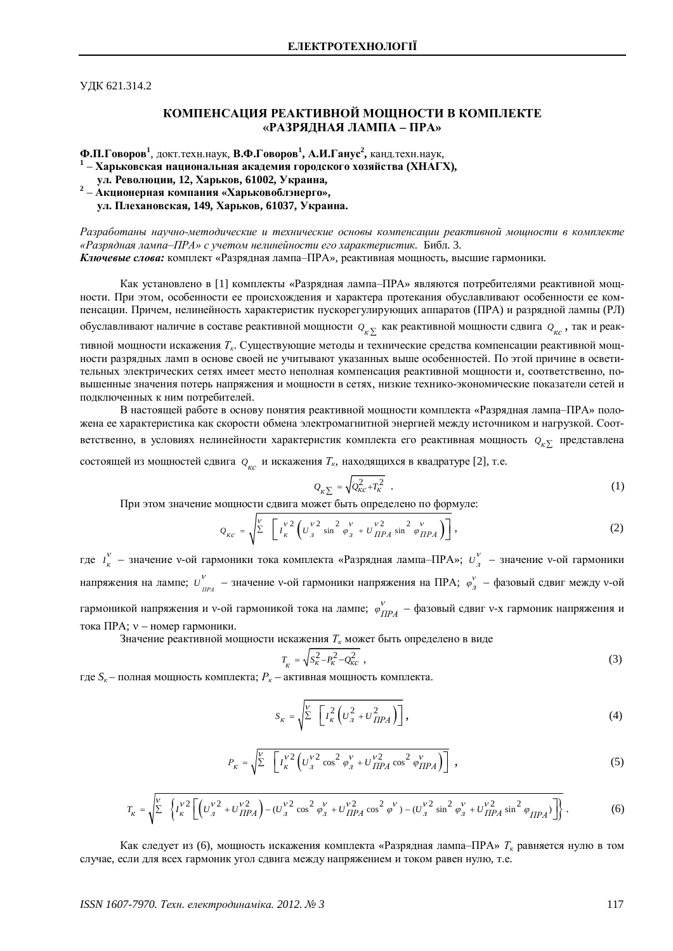УДК 621.314.2

## КОМПЕНСАЦИЯ РЕАКТИВНОЙ МОЩНОСТИ В КОМПЛЕКТЕ **©ɊȺɁɊəȾɇȺəɅȺɆɉȺ – ɉɊȺ»**

Ф.П.Говоров<sup>1</sup>, докт.техн.наук, В.Ф.Говоров<sup>1</sup>, А.И.Ганус<sup>2</sup>, канд.техн.наук,

<sup>1</sup> – Харьковская национальная академия городского хозяйства (ХНАГХ),

 **ɭɥ. Ɋɟɜɨɥɸɰɢɢ, 12, ɏɚɪɶɤɨɜ, 61002, ɍɤɪɚɢɧɚ,**

**2** – **Ⱥɤɰɢɨɧɟɪɧɚɹɤɨɦɩɚɧɢɹ «ɏɚɪɶɤɨɜɨɛɥɷɧɟɪɝɨ», ɭɥ. ɉɥɟɯɚɧɨɜɫɤɚɹ, 149, ɏɚɪɶɤɨɜ, 61037, ɍɤɪɚɢɧɚ.**

Разработаны научно-методические и технические основы компенсации реактивной мошности в комплекте «Разрядная лампа-ПРА» с учетом нелинейности его характеристик. Библ. 3. Ключевые слова: комплект «Разрядная лампа-ПРА», реактивная мощность, высшие гармоники.

Как установлено в [1] комплекты «Разрядная лампа-ПРА» являются потребителями реактивной мощности. При этом, особенности ее происхождения и характера протекания обуславливают особенности ее компенсации. Причем, нелинейность характеристик пускорегулирующих аппаратов (ПРА) и разрядной лампы (РЛ)

обуславливают наличие в составе реактивной мощности  $\varrho_{_\mathcal{K}\Sigma}$  как реактивной мощности сдвига  $\varrho_{_{\mathcal{K}\mathcal{C}}}$ , так и реак-

тивной мощности искажения Т<sub>к</sub>. Существующие методы и технические средства компенсации реактивной мощности разрядных ламп в основе своей не учитывают указанных выше особенностей. По этой причине в осветительных электрических сетях имеет место неполная компенсация реактивной мощности и, соответственно, повышенные значения потерь напряжения и мощности в сетях, низкие технико-экономические показатели сетей и подключенных к ним потребителей.

В настоящей работе в основу понятия реактивной мощности комплекта «Разрядная лампа-ПРА» положена ее характеристика как скорости обмена электромагнитной энергией между источником и нагрузкой. Соответственно, в условиях нелинейности характеристик комплекта его реактивная мощность  $\varrho_{\kappa\Sigma}^{}$  представлена состоящей из мощностей сдвига  $\mathcal{Q}_{_{\mathcal{KC}}}$  и искажения  $T_{\kappa}$ , находящихся в квадратуре [2], т.е.

$$
Q_{\kappa \sum} = \sqrt{Q_{\kappa c}^2 + T_{\kappa}^2} \quad . \tag{1}
$$

При этом значение мощности сдвига может быть определено по формуле:

$$
Q_{_{KC}} = \sqrt{\sum_{k}^{V} \left[ I_{k}^{V2} \left( U_{l}^{V2} \sin^{2} \varphi_{l}^{V} + U_{\Pi P A}^{V2} \sin^{2} \varphi_{\Pi P A}^{V} \right) \right]},
$$
\n(2)

где *I*<sub>к</sub> – значение v-ой гармоники тока комплекта «Разрядная лампа–ПРА»;  $u_{\pi}^{v}$  – значение v-ой гармоники напряжения на лампе;  $U_{_{I\!I\!P\!A}}^V$  – значение v-ой гармоники напряжения на ПРА;  $\varphi_A^V$  – фазовый сдвиг между v-ой гармоникой напряжения и v-ой гармоникой тока на лампе;  $\phi_{IIPA}^V$  – фазовый сдвиг v-х гармоник напряжения и тока ПРА;  $v$  – номер гармоники.

Значение реактивной мощности искажения  $T_{\kappa}$  может быть определено в виде

$$
T_{K} = \sqrt{S_{K}^{2} - P_{K}^{2} - Q_{K}^{2}} \tag{3}
$$

где  $S_k$  – полная мощность комплекта;  $P_k$  – активная мощность комплекта.

$$
S_K = \sqrt{\sum_{k=1}^{V} \left[ I_K^2 \left( U_M^2 + U_{\Pi P A}^2 \right) \right]},
$$
 (4)

$$
P_{\kappa} = \sqrt{\sum_{k=1}^{V} \left[ I_{\kappa}^{\nu 2} \left( U_{\jmath}^{\nu 2} \cos^2 \varphi_{\jmath}^{\nu} + U_{\iota \iota \iota}^{\nu 2} \cos^2 \varphi_{\iota \iota \iota \iota}^{\nu} \right) \right]} \,, \tag{5}
$$

$$
T_{K} = \sqrt{\sum_{k} \left\{ I_{K}^{V2} \left[ \left( U_{A}^{V2} + U_{\Pi PA}^{V2} \right) - (U_{A}^{V2} \cos^{2} \varphi_{A}^{V} + U_{\Pi PA}^{V2} \cos^{2} \varphi^{V}) - (U_{A}^{V2} \sin^{2} \varphi_{A}^{V} + U_{\Pi PA}^{V2} \sin^{2} \varphi_{\Pi PA}) \right] \right\}}.
$$
 (6)

Как следует из (6), мощность искажения комплекта «Разрядная лампа-ПРА» Т<sub>к</sub> равняется нулю в том случае, если для всех гармоник угол сдвига между напряжением и током равен нулю, т.е.